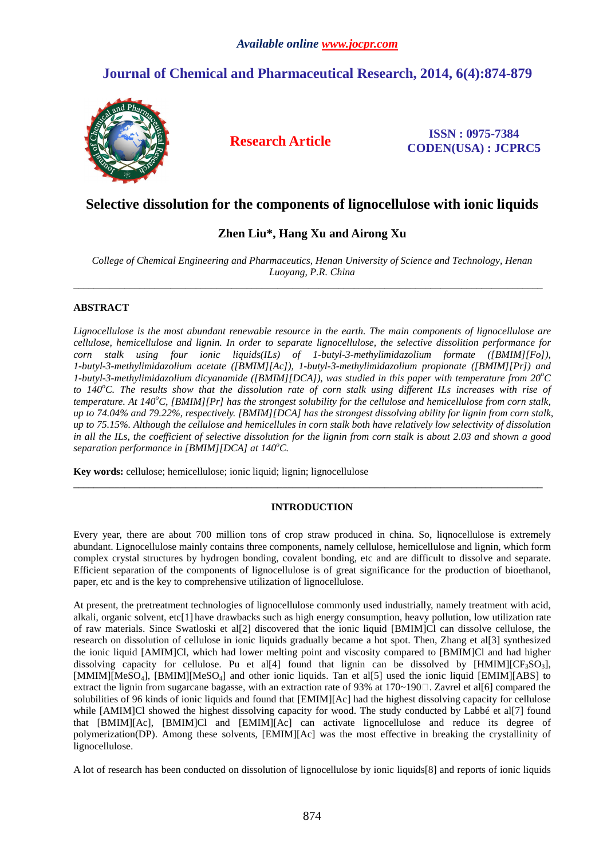# **Journal of Chemical and Pharmaceutical Research, 2014, 6(4):874-879**



**Research Article ISSN : 0975-7384 CODEN(USA) : JCPRC5**

## **Selective dissolution for the components of lignocellulose with ionic liquids**

## **Zhen Liu\*, Hang Xu and Airong Xu**

*College of Chemical Engineering and Pharmaceutics, Henan University of Science and Technology, Henan Luoyang, P.R. China*   $\overline{\phantom{a}}$  , and the state of the state of the state of the state of the state of the state of the state of the state of the state of the state of the state of the state of the state of the state of the state of the stat

## **ABSTRACT**

*Lignocellulose is the most abundant renewable resource in the earth. The main components of lignocellulose are cellulose, hemicellulose and lignin. In order to separate lignocellulose, the selective dissolition performance for corn stalk using four ionic liquids(ILs) of 1-butyl-3-methylimidazolium formate ([BMIM][Fo]), 1-butyl-3-methylimidazolium acetate ([BMIM][Ac]), 1-butyl-3-methylimidazolium propionate ([BMIM][Pr]) and 1-butyl-3-methylimidazolium dicyanamide ([BMIM][DCA]), was studied in this paper with temperature from 20<sup>o</sup>C to 140<sup>o</sup>C. The results show that the dissolution rate of corn stalk using different ILs increases with rise of temperature. At 140<sup>o</sup>C, [BMIM][Pr] has the strongest solubility for the cellulose and hemicellulose from corn stalk, up to 74.04% and 79.22%, respectively. [BMIM][DCA] has the strongest dissolving ability for lignin from corn stalk, up to 75.15%. Although the cellulose and hemicellules in corn stalk both have relatively low selectivity of dissolution in all the ILs, the coefficient of selective dissolution for the lignin from corn stalk is about 2.03 and shown a good separation performance in [BMIM][DCA] at 140<sup>o</sup>C.* 

**Key words:** cellulose; hemicellulose; ionic liquid; lignin; lignocellulose

### **INTRODUCTION**

\_\_\_\_\_\_\_\_\_\_\_\_\_\_\_\_\_\_\_\_\_\_\_\_\_\_\_\_\_\_\_\_\_\_\_\_\_\_\_\_\_\_\_\_\_\_\_\_\_\_\_\_\_\_\_\_\_\_\_\_\_\_\_\_\_\_\_\_\_\_\_\_\_\_\_\_\_\_\_\_\_\_\_\_\_\_\_\_\_\_\_\_

Every year, there are about 700 million tons of crop straw produced in china. So, liqnocellulose is extremely abundant. Lignocellulose mainly contains three components, namely cellulose, hemicellulose and lignin, which form complex crystal structures by hydrogen bonding, covalent bonding, etc and are difficult to dissolve and separate. Efficient separation of the components of lignocellulose is of great significance for the production of bioethanol, paper, etc and is the key to comprehensive utilization of lignocellulose.

At present, the pretreatment technologies of lignocellulose commonly used industrially, namely treatment with acid, alkali, organic solvent, etc[1] have drawbacks such as high energy consumption, heavy pollution, low utilization rate of raw materials. Since Swatloski et al[2] discovered that the ionic liquid [BMIM]Cl can dissolve cellulose, the research on dissolution of cellulose in ionic liquids gradually became a hot spot. Then, Zhang et al[3] synthesized the ionic liquid [AMIM]Cl, which had lower melting point and viscosity compared to [BMIM]Cl and had higher dissolving capacity for cellulose. Pu et all 4 found that lignin can be dissolved by  $[HMM][CF<sub>3</sub>SO<sub>3</sub>]$ , [MMIM][MeSO<sub>4</sub>], [BMIM][MeSO<sub>4</sub>] and other ionic liquids. Tan et al[5] used the ionic liquid [EMIM][ABS] to extract the lignin from sugarcane bagasse, with an extraction rate of 93% at  $170~190$ . Zavrel et al[6] compared the solubilities of 96 kinds of ionic liquids and found that [EMIM][Ac] had the highest dissolving capacity for cellulose while [AMIMIC] showed the highest dissolving capacity for wood. The study conducted by Labbé et al[7] found that [BMIM][Ac], [BMIM]Cl and [EMIM][Ac] can activate lignocellulose and reduce its degree of polymerization(DP). Among these solvents, [EMIM][Ac] was the most effective in breaking the crystallinity of lignocellulose.

A lot of research has been conducted on dissolution of lignocellulose by ionic liquids[8] and reports of ionic liquids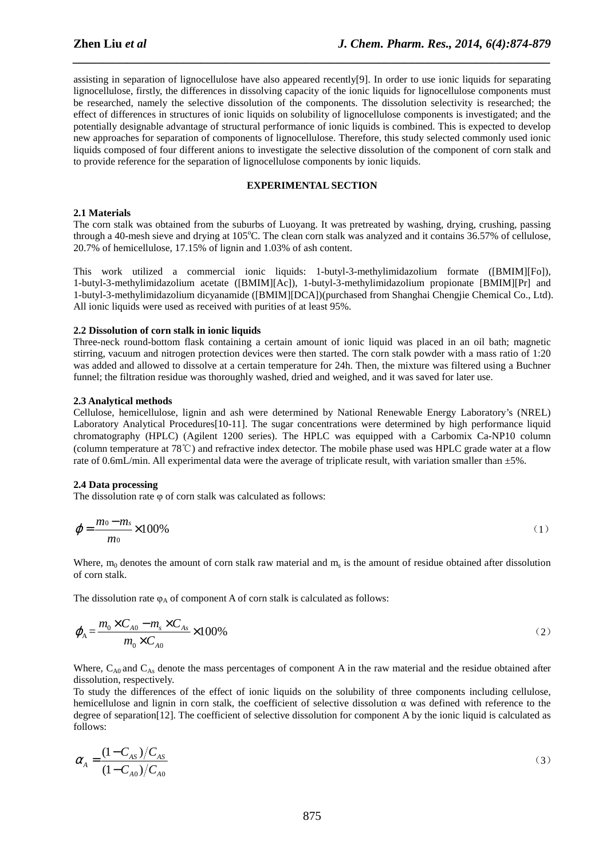assisting in separation of lignocellulose have also appeared recently[9]. In order to use ionic liquids for separating lignocellulose, firstly, the differences in dissolving capacity of the ionic liquids for lignocellulose components must be researched, namely the selective dissolution of the components. The dissolution selectivity is researched; the effect of differences in structures of ionic liquids on solubility of lignocellulose components is investigated; and the potentially designable advantage of structural performance of ionic liquids is combined. This is expected to develop new approaches for separation of components of lignocellulose. Therefore, this study selected commonly used ionic liquids composed of four different anions to investigate the selective dissolution of the component of corn stalk and to provide reference for the separation of lignocellulose components by ionic liquids.

*\_\_\_\_\_\_\_\_\_\_\_\_\_\_\_\_\_\_\_\_\_\_\_\_\_\_\_\_\_\_\_\_\_\_\_\_\_\_\_\_\_\_\_\_\_\_\_\_\_\_\_\_\_\_\_\_\_\_\_\_\_\_\_\_\_\_\_\_\_\_\_\_\_\_\_\_\_\_*

#### **EXPERIMENTAL SECTION**

#### **2.1 Materials**

The corn stalk was obtained from the suburbs of Luoyang. It was pretreated by washing, drying, crushing, passing through a 40-mesh sieve and drying at  $105^{\circ}$ C. The clean corn stalk was analyzed and it contains 36.57% of cellulose, 20.7% of hemicellulose, 17.15% of lignin and 1.03% of ash content.

This work utilized a commercial ionic liquids: 1-butyl-3-methylimidazolium formate ([BMIM][Fo]), 1-butyl-3-methylimidazolium acetate ([BMIM][Ac]), 1-butyl-3-methylimidazolium propionate [BMIM][Pr] and 1-butyl-3-methylimidazolium dicyanamide ([BMIM][DCA])(purchased from Shanghai Chengjie Chemical Co., Ltd). All ionic liquids were used as received with purities of at least 95%.

#### **2.2 Dissolution of corn stalk in ionic liquids**

Three-neck round-bottom flask containing a certain amount of ionic liquid was placed in an oil bath; magnetic stirring, vacuum and nitrogen protection devices were then started. The corn stalk powder with a mass ratio of 1:20 was added and allowed to dissolve at a certain temperature for 24h. Then, the mixture was filtered using a Buchner funnel; the filtration residue was thoroughly washed, dried and weighed, and it was saved for later use.

#### **2.3 Analytical methods**

Cellulose, hemicellulose, lignin and ash were determined by National Renewable Energy Laboratory's (NREL) Laboratory Analytical Procedures[10-11]. The sugar concentrations were determined by high performance liquid chromatography (HPLC) (Agilent 1200 series). The HPLC was equipped with a Carbomix Ca-NP10 column (column temperature at 78℃) and refractive index detector. The mobile phase used was HPLC grade water at a flow rate of 0.6mL/min. All experimental data were the average of triplicate result, with variation smaller than ±5%.

#### **2.4 Data processing**

The dissolution rate φ of corn stalk was calculated as follows:

$$
\varphi = \frac{m_0 - m_s}{m_0} \times 100\%
$$

Where,  $m_0$  denotes the amount of corn stalk raw material and  $m_s$  is the amount of residue obtained after dissolution of corn stalk.

The dissolution rate  $\varphi_A$  of component A of corn stalk is calculated as follows:

$$
\varphi_{\mathbf{A}} = \frac{m_0 \times C_{A0} - m_s \times C_{As}}{m_0 \times C_{A0}} \times 100\%
$$
\n<sup>(2)</sup>

Where,  $C_{A0}$  and  $C_{As}$  denote the mass percentages of component A in the raw material and the residue obtained after dissolution, respectively.

To study the differences of the effect of ionic liquids on the solubility of three components including cellulose, hemicellulose and lignin in corn stalk, the coefficient of selective dissolution  $\alpha$  was defined with reference to the degree of separation[12]. The coefficient of selective dissolution for component A by the ionic liquid is calculated as follows:

$$
\alpha_{A} = \frac{(1 - C_{AS})/C_{AS}}{(1 - C_{A0})/C_{A0}}
$$
\n(3)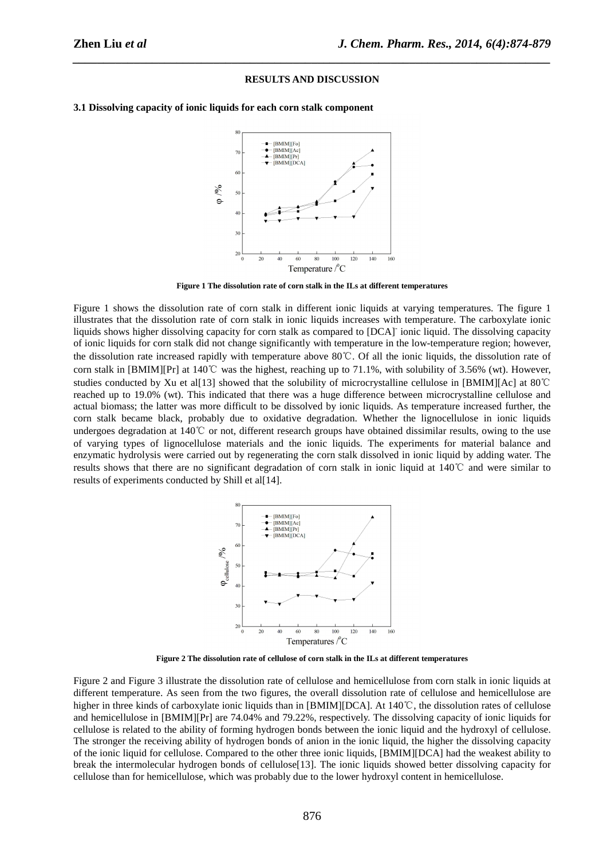#### **RESULTS AND DISCUSSION**

*\_\_\_\_\_\_\_\_\_\_\_\_\_\_\_\_\_\_\_\_\_\_\_\_\_\_\_\_\_\_\_\_\_\_\_\_\_\_\_\_\_\_\_\_\_\_\_\_\_\_\_\_\_\_\_\_\_\_\_\_\_\_\_\_\_\_\_\_\_\_\_\_\_\_\_\_\_\_*



**3.1 Dissolving capacity of ionic liquids for each corn stalk component** 

**Figure 1 The dissolution rate of corn stalk in the ILs at different temperatures** 

Figure 1 shows the dissolution rate of corn stalk in different ionic liquids at varying temperatures. The figure 1 illustrates that the dissolution rate of corn stalk in ionic liquids increases with temperature. The carboxylate ionic liquids shows higher dissolving capacity for corn stalk as compared to [DCA]- ionic liquid. The dissolving capacity of ionic liquids for corn stalk did not change significantly with temperature in the low-temperature region; however, the dissolution rate increased rapidly with temperature above 80℃. Of all the ionic liquids, the dissolution rate of corn stalk in  $[BMM][Pr]$  at 140°C was the highest, reaching up to 71.1%, with solubility of 3.56% (wt). However, studies conducted by Xu et al[13] showed that the solubility of microcrystalline cellulose in [BMIM][Ac] at 80℃ reached up to 19.0% (wt). This indicated that there was a huge difference between microcrystalline cellulose and actual biomass; the latter was more difficult to be dissolved by ionic liquids. As temperature increased further, the corn stalk became black, probably due to oxidative degradation. Whether the lignocellulose in ionic liquids undergoes degradation at 140℃ or not, different research groups have obtained dissimilar results, owing to the use of varying types of lignocellulose materials and the ionic liquids. The experiments for material balance and enzymatic hydrolysis were carried out by regenerating the corn stalk dissolved in ionic liquid by adding water. The results shows that there are no significant degradation of corn stalk in ionic liquid at 140℃ and were similar to results of experiments conducted by Shill et al[14].



**Figure 2 The dissolution rate of cellulose of corn stalk in the ILs at different temperatures** 

Figure 2 and Figure 3 illustrate the dissolution rate of cellulose and hemicellulose from corn stalk in ionic liquids at different temperature. As seen from the two figures, the overall dissolution rate of cellulose and hemicellulose are higher in three kinds of carboxylate ionic liquids than in [BMIM][DCA]. At 140℃, the dissolution rates of cellulose and hemicellulose in [BMIM][Pr] are 74.04% and 79.22%, respectively. The dissolving capacity of ionic liquids for cellulose is related to the ability of forming hydrogen bonds between the ionic liquid and the hydroxyl of cellulose. The stronger the receiving ability of hydrogen bonds of anion in the ionic liquid, the higher the dissolving capacity of the ionic liquid for cellulose. Compared to the other three ionic liquids, [BMIM][DCA] had the weakest ability to break the intermolecular hydrogen bonds of cellulose[13]. The ionic liquids showed better dissolving capacity for cellulose than for hemicellulose, which was probably due to the lower hydroxyl content in hemicellulose.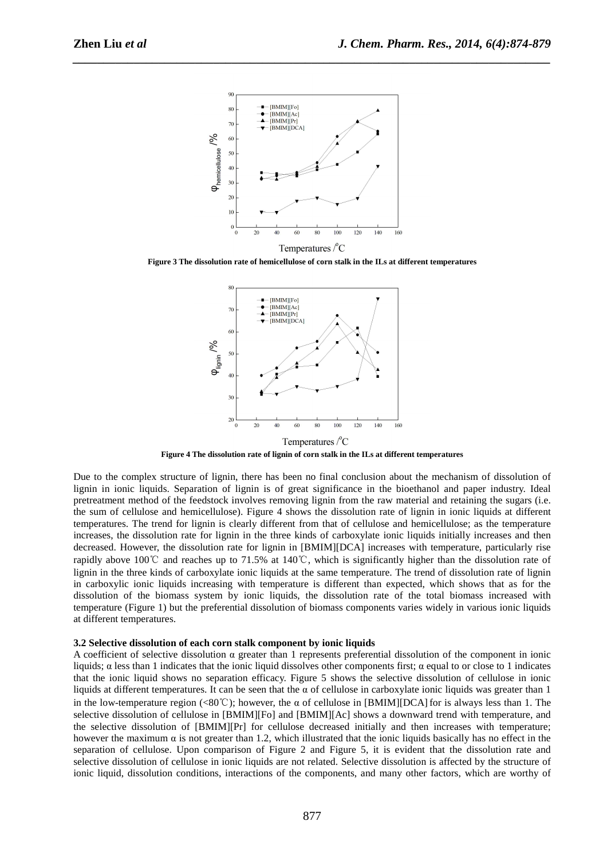

*\_\_\_\_\_\_\_\_\_\_\_\_\_\_\_\_\_\_\_\_\_\_\_\_\_\_\_\_\_\_\_\_\_\_\_\_\_\_\_\_\_\_\_\_\_\_\_\_\_\_\_\_\_\_\_\_\_\_\_\_\_\_\_\_\_\_\_\_\_\_\_\_\_\_\_\_\_\_*

**Figure 3 The dissolution rate of hemicellulose of corn stalk in the ILs at different temperatures** 



**Figure 4 The dissolution rate of lignin of corn stalk in the ILs at different temperatures** 

Due to the complex structure of lignin, there has been no final conclusion about the mechanism of dissolution of lignin in ionic liquids. Separation of lignin is of great significance in the bioethanol and paper industry. Ideal pretreatment method of the feedstock involves removing lignin from the raw material and retaining the sugars (i.e. the sum of cellulose and hemicellulose). Figure 4 shows the dissolution rate of lignin in ionic liquids at different temperatures. The trend for lignin is clearly different from that of cellulose and hemicellulose; as the temperature increases, the dissolution rate for lignin in the three kinds of carboxylate ionic liquids initially increases and then decreased. However, the dissolution rate for lignin in [BMIM][DCA] increases with temperature, particularly rise rapidly above 100℃ and reaches up to 71.5% at 140℃, which is significantly higher than the dissolution rate of lignin in the three kinds of carboxylate ionic liquids at the same temperature. The trend of dissolution rate of lignin in carboxylic ionic liquids increasing with temperature is different than expected, which shows that as for the dissolution of the biomass system by ionic liquids, the dissolution rate of the total biomass increased with temperature (Figure 1) but the preferential dissolution of biomass components varies widely in various ionic liquids at different temperatures.

#### **3.2 Selective dissolution of each corn stalk component by ionic liquids**

A coefficient of selective dissolution  $\alpha$  greater than 1 represents preferential dissolution of the component in ionic liquids; α less than 1 indicates that the ionic liquid dissolves other components first; α equal to or close to 1 indicates that the ionic liquid shows no separation efficacy. Figure 5 shows the selective dissolution of cellulose in ionic liquids at different temperatures. It can be seen that the  $\alpha$  of cellulose in carboxylate ionic liquids was greater than 1 in the low-temperature region (<80°C); however, the  $\alpha$  of cellulose in [BMIM][DCA] for is always less than 1. The selective dissolution of cellulose in [BMIM][Fo] and [BMIM][Ac] shows a downward trend with temperature, and the selective dissolution of [BMIM][Pr] for cellulose decreased initially and then increases with temperature; however the maximum  $\alpha$  is not greater than 1.2, which illustrated that the ionic liquids basically has no effect in the separation of cellulose. Upon comparison of Figure 2 and Figure 5, it is evident that the dissolution rate and selective dissolution of cellulose in ionic liquids are not related. Selective dissolution is affected by the structure of ionic liquid, dissolution conditions, interactions of the components, and many other factors, which are worthy of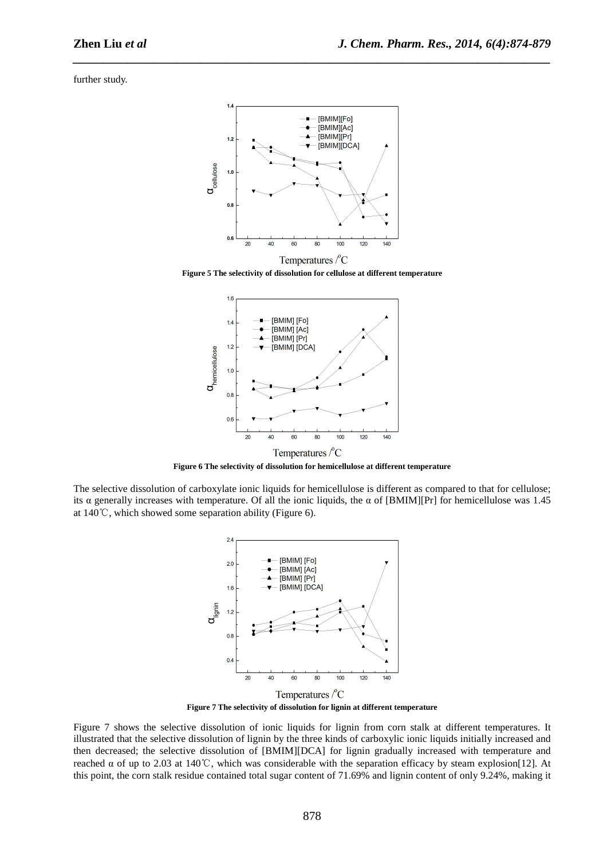further study.



*\_\_\_\_\_\_\_\_\_\_\_\_\_\_\_\_\_\_\_\_\_\_\_\_\_\_\_\_\_\_\_\_\_\_\_\_\_\_\_\_\_\_\_\_\_\_\_\_\_\_\_\_\_\_\_\_\_\_\_\_\_\_\_\_\_\_\_\_\_\_\_\_\_\_\_\_\_\_*

**Figure 5 The selectivity of dissolution for cellulose at different temperature** 



**Figure 6 The selectivity of dissolution for hemicellulose at different temperature** 

The selective dissolution of carboxylate ionic liquids for hemicellulose is different as compared to that for cellulose; its α generally increases with temperature. Of all the ionic liquids, the α of [BMIM][Pr] for hemicellulose was 1.45 at 140℃, which showed some separation ability (Figure 6).



**Figure 7 The selectivity of dissolution for lignin at different temperature** 

Figure 7 shows the selective dissolution of ionic liquids for lignin from corn stalk at different temperatures. It illustrated that the selective dissolution of lignin by the three kinds of carboxylic ionic liquids initially increased and then decreased; the selective dissolution of [BMIM][DCA] for lignin gradually increased with temperature and reached α of up to 2.03 at 140°C, which was considerable with the separation efficacy by steam explosion[12]. At this point, the corn stalk residue contained total sugar content of 71.69% and lignin content of only 9.24%, making it